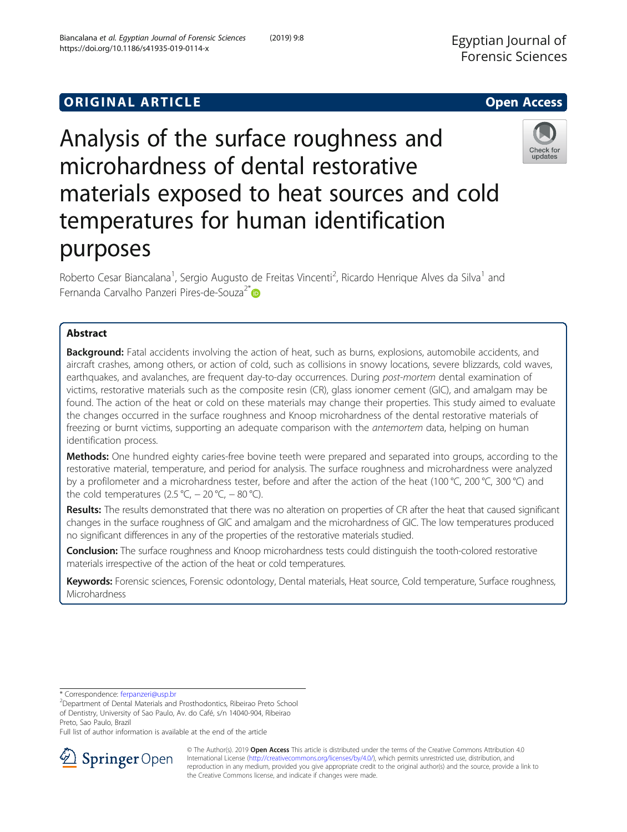# **ORIGINAL ARTICLE** And the open Access of the Open Access of the Open Access of the Open Access of the Open Access

Analysis of the surface roughness and microhardness of dental restorative materials exposed to heat sources and cold temperatures for human identification purposes

Roberto Cesar Biancalana<sup>1</sup>, Sergio Augusto de Freitas Vincenti<sup>2</sup>, Ricardo Henrique Alves da Silva<sup>1</sup> and Fernanda Carvalho Panzeri Pires-de-Souza<sup>2\*</sup>

# Abstract

**Background:** Fatal accidents involving the action of heat, such as burns, explosions, automobile accidents, and aircraft crashes, among others, or action of cold, such as collisions in snowy locations, severe blizzards, cold waves, earthquakes, and avalanches, are frequent day-to-day occurrences. During post-mortem dental examination of victims, restorative materials such as the composite resin (CR), glass ionomer cement (GIC), and amalgam may be found. The action of the heat or cold on these materials may change their properties. This study aimed to evaluate the changes occurred in the surface roughness and Knoop microhardness of the dental restorative materials of freezing or burnt victims, supporting an adequate comparison with the antemortem data, helping on human identification process.

Methods: One hundred eighty caries-free bovine teeth were prepared and separated into groups, according to the restorative material, temperature, and period for analysis. The surface roughness and microhardness were analyzed by a profilometer and a microhardness tester, before and after the action of the heat (100 °C, 200 °C, 300 °C) and the cold temperatures (2.5 °C,  $-$  20 °C,  $-$  80 °C).

Results: The results demonstrated that there was no alteration on properties of CR after the heat that caused significant changes in the surface roughness of GIC and amalgam and the microhardness of GIC. The low temperatures produced no significant differences in any of the properties of the restorative materials studied.

Conclusion: The surface roughness and Knoop microhardness tests could distinguish the tooth-colored restorative materials irrespective of the action of the heat or cold temperatures.

Keywords: Forensic sciences, Forensic odontology, Dental materials, Heat source, Cold temperature, Surface roughness, Microhardness

\* Correspondence: [ferpanzeri@usp.br](mailto:ferpanzeri@usp.br) <sup>2</sup>





<sup>©</sup> The Author(s). 2019 Open Access This article is distributed under the terms of the Creative Commons Attribution 4.0 International License ([http://creativecommons.org/licenses/by/4.0/\)](http://creativecommons.org/licenses/by/4.0/), which permits unrestricted use, distribution, and reproduction in any medium, provided you give appropriate credit to the original author(s) and the source, provide a link to the Creative Commons license, and indicate if changes were made.





updates

<sup>&</sup>lt;sup>2</sup>Department of Dental Materials and Prosthodontics, Ribeirao Preto School of Dentistry, University of Sao Paulo, Av. do Café, s/n 14040-904, Ribeirao Preto, Sao Paulo, Brazil

Full list of author information is available at the end of the article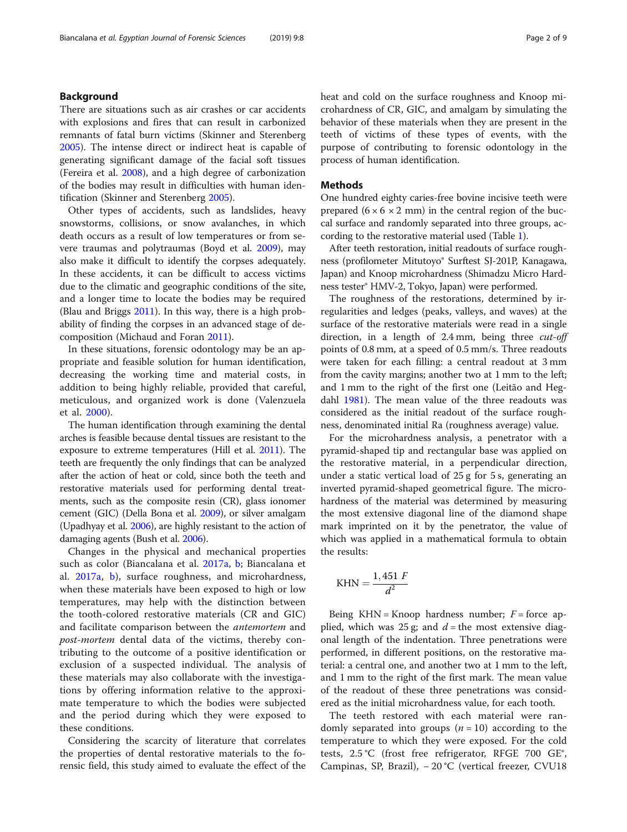There are situations such as air crashes or car accidents with explosions and fires that can result in carbonized remnants of fatal burn victims (Skinner and Sterenberg [2005](#page-7-0)). The intense direct or indirect heat is capable of generating significant damage of the facial soft tissues (Fereira et al. [2008](#page-7-0)), and a high degree of carbonization of the bodies may result in difficulties with human identification (Skinner and Sterenberg [2005\)](#page-7-0).

Other types of accidents, such as landslides, heavy snowstorms, collisions, or snow avalanches, in which death occurs as a result of low temperatures or from severe traumas and polytraumas (Boyd et al. [2009\)](#page-7-0), may also make it difficult to identify the corpses adequately. In these accidents, it can be difficult to access victims due to the climatic and geographic conditions of the site, and a longer time to locate the bodies may be required (Blau and Briggs [2011](#page-7-0)). In this way, there is a high probability of finding the corpses in an advanced stage of decomposition (Michaud and Foran [2011\)](#page-7-0).

In these situations, forensic odontology may be an appropriate and feasible solution for human identification, decreasing the working time and material costs, in addition to being highly reliable, provided that careful, meticulous, and organized work is done (Valenzuela et al. [2000\)](#page-7-0).

The human identification through examining the dental arches is feasible because dental tissues are resistant to the exposure to extreme temperatures (Hill et al. [2011\)](#page-7-0). The teeth are frequently the only findings that can be analyzed after the action of heat or cold, since both the teeth and restorative materials used for performing dental treatments, such as the composite resin (CR), glass ionomer cement (GIC) (Della Bona et al. [2009](#page-7-0)), or silver amalgam (Upadhyay et al. [2006](#page-7-0)), are highly resistant to the action of damaging agents (Bush et al. [2006\)](#page-7-0).

Changes in the physical and mechanical properties such as color (Biancalana et al. [2017a](#page-7-0), [b;](#page-7-0) Biancalana et al. [2017a](#page-7-0), [b](#page-7-0)), surface roughness, and microhardness, when these materials have been exposed to high or low temperatures, may help with the distinction between the tooth-colored restorative materials (CR and GIC) and facilitate comparison between the antemortem and post-mortem dental data of the victims, thereby contributing to the outcome of a positive identification or exclusion of a suspected individual. The analysis of these materials may also collaborate with the investigations by offering information relative to the approximate temperature to which the bodies were subjected and the period during which they were exposed to these conditions.

Considering the scarcity of literature that correlates the properties of dental restorative materials to the forensic field, this study aimed to evaluate the effect of the heat and cold on the surface roughness and Knoop microhardness of CR, GIC, and amalgam by simulating the behavior of these materials when they are present in the teeth of victims of these types of events, with the purpose of contributing to forensic odontology in the process of human identification.

### Methods

One hundred eighty caries-free bovine incisive teeth were prepared  $(6 \times 6 \times 2 \text{ mm})$  in the central region of the buccal surface and randomly separated into three groups, according to the restorative material used (Table [1\)](#page-2-0).

After teeth restoration, initial readouts of surface roughness (profilometer Mitutoyo® Surftest SJ-201P, Kanagawa, Japan) and Knoop microhardness (Shimadzu Micro Hardness tester® HMV-2, Tokyo, Japan) were performed.

The roughness of the restorations, determined by irregularities and ledges (peaks, valleys, and waves) at the surface of the restorative materials were read in a single direction, in a length of 2.4 mm, being three *cut-off* points of 0.8 mm, at a speed of 0.5 mm/s. Three readouts were taken for each filling: a central readout at 3 mm from the cavity margins; another two at 1 mm to the left; and 1 mm to the right of the first one (Leitão and Hegdahl [1981](#page-7-0)). The mean value of the three readouts was considered as the initial readout of the surface roughness, denominated initial Ra (roughness average) value.

For the microhardness analysis, a penetrator with a pyramid-shaped tip and rectangular base was applied on the restorative material, in a perpendicular direction, under a static vertical load of 25 g for 5 s, generating an inverted pyramid-shaped geometrical figure. The microhardness of the material was determined by measuring the most extensive diagonal line of the diamond shape mark imprinted on it by the penetrator, the value of which was applied in a mathematical formula to obtain the results:

$$
KHN = \frac{1,451 \ F}{d^2}
$$

Being KHN = Knoop hardness number;  $F =$  force applied, which was 25 g; and  $d =$  the most extensive diagonal length of the indentation. Three penetrations were performed, in different positions, on the restorative material: a central one, and another two at 1 mm to the left, and 1 mm to the right of the first mark. The mean value of the readout of these three penetrations was considered as the initial microhardness value, for each tooth.

The teeth restored with each material were randomly separated into groups ( $n = 10$ ) according to the temperature to which they were exposed. For the cold tests, 2.5 °C (frost free refrigerator, RFGE 700 GE®, Campinas, SP, Brazil), − 20 °C (vertical freezer, CVU18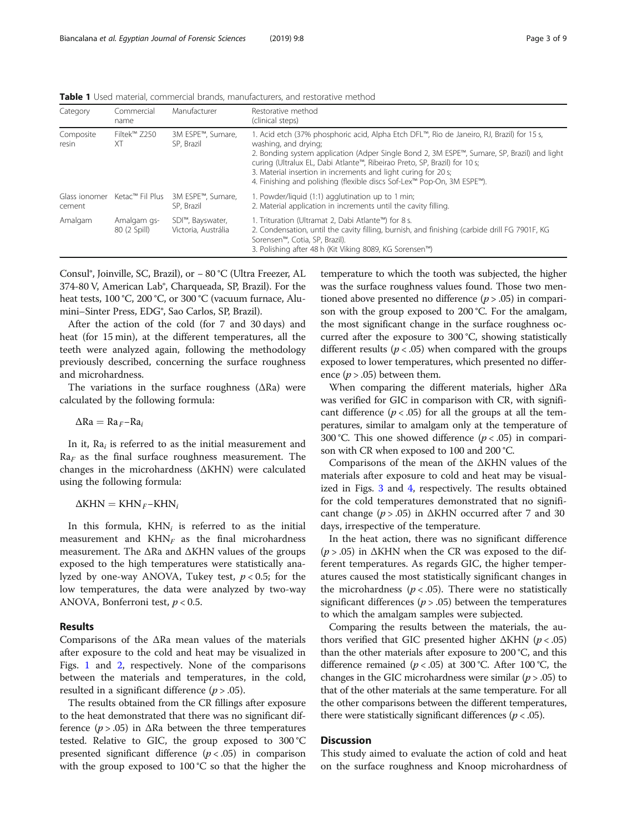<span id="page-2-0"></span>Table 1 Used material, commercial brands, manufacturers, and restorative method

| Category           | Commercial<br>name            | Manufacturer                            | Restorative method<br>(clinical steps)                                                                                                                                                                                                                                                                                                                                                                                                    |
|--------------------|-------------------------------|-----------------------------------------|-------------------------------------------------------------------------------------------------------------------------------------------------------------------------------------------------------------------------------------------------------------------------------------------------------------------------------------------------------------------------------------------------------------------------------------------|
| Composite<br>resin | Filtek™ 7250<br>XТ            | 3M ESPE™, Sumare,<br>SP, Brazil         | 1. Acid etch (37% phosphoric acid, Alpha Etch DFL™, Rio de Janeiro, RJ, Brazil) for 15 s,<br>washing, and drying;<br>2. Bonding system application (Adper Single Bond 2, 3M ESPE™, Sumare, SP, Brazil) and light<br>curing (Ultralux EL, Dabi Atlante™, Ribeirao Preto, SP, Brazil) for 10 s;<br>3. Material insertion in increments and light curing for 20 s;<br>4. Finishing and polishing (flexible discs Sof-Lex™ Pop-On, 3M ESPE™). |
| cement             | Glass ionomer Ketac™ Fil Plus | 3M ESPE™, Sumare,<br>SP. Brazil         | 1. Powder/liquid (1:1) agglutination up to 1 min;<br>2. Material application in increments until the cavity filling.                                                                                                                                                                                                                                                                                                                      |
| Amalgam            | Amalgam gs-<br>80 (2 Spill)   | SDI™, Bayswater,<br>Victoria, Austrália | 1. Trituration (Ultramat 2, Dabi Atlante™) for 8 s.<br>2. Condensation, until the cavity filling, burnish, and finishing (carbide drill FG 7901F, KG<br>Sorensen™, Cotia, SP, Brazil).<br>3. Polishing after 48 h (Kit Viking 8089, KG Sorensen™)                                                                                                                                                                                         |

Consul®, Joinville, SC, Brazil), or − 80 °C (Ultra Freezer, AL 374-80 V, American Lab®, Charqueada, SP, Brazil). For the heat tests, 100 °C, 200 °C, or 300 °C (vacuum furnace, Alumini–Sinter Press, EDG®, Sao Carlos, SP, Brazil).

After the action of the cold (for 7 and 30 days) and heat (for 15 min), at the different temperatures, all the teeth were analyzed again, following the methodology previously described, concerning the surface roughness and microhardness.

The variations in the surface roughness  $( \Delta Ra)$  were calculated by the following formula:

 $\Delta$ Ra = Ra<sub>F</sub>−Ra<sub>i</sub>

In it,  $Ra_i$  is referred to as the initial measurement and  $Ra_F$  as the final surface roughness measurement. The changes in the microhardness (ΔKHN) were calculated using the following formula:

 $\Delta$ KHN = KHN<sub>F</sub>-KHN<sub>i</sub>

In this formula,  $KHN_i$  is referred to as the initial measurement and  $KHN<sub>F</sub>$  as the final microhardness measurement. The ΔRa and ΔKHN values of the groups exposed to the high temperatures were statistically analyzed by one-way ANOVA, Tukey test,  $p < 0.5$ ; for the low temperatures, the data were analyzed by two-way ANOVA, Bonferroni test, p < 0.5.

## Results

Comparisons of the ΔRa mean values of the materials after exposure to the cold and heat may be visualized in Figs. [1](#page-3-0) and [2](#page-3-0), respectively. None of the comparisons between the materials and temperatures, in the cold, resulted in a significant difference  $(p > .05)$ .

The results obtained from the CR fillings after exposure to the heat demonstrated that there was no significant difference ( $p > .05$ ) in  $\Delta$ Ra between the three temperatures tested. Relative to GIC, the group exposed to 300 °C presented significant difference  $(p < .05)$  in comparison with the group exposed to 100 °C so that the higher the

temperature to which the tooth was subjected, the higher was the surface roughness values found. Those two mentioned above presented no difference  $(p > .05)$  in comparison with the group exposed to 200 °C. For the amalgam, the most significant change in the surface roughness occurred after the exposure to 300 °C, showing statistically different results ( $p < .05$ ) when compared with the groups exposed to lower temperatures, which presented no difference ( $p > .05$ ) between them.

When comparing the different materials, higher ΔRa was verified for GIC in comparison with CR, with significant difference  $(p < .05)$  for all the groups at all the temperatures, similar to amalgam only at the temperature of 300 °C. This one showed difference ( $p < .05$ ) in comparison with CR when exposed to 100 and 200 °C.

Comparisons of the mean of the ΔKHN values of the materials after exposure to cold and heat may be visualized in Figs. [3](#page-4-0) and [4](#page-4-0), respectively. The results obtained for the cold temperatures demonstrated that no significant change ( $p > .05$ ) in  $\triangle$ KHN occurred after 7 and 30 days, irrespective of the temperature.

In the heat action, there was no significant difference ( $p > .05$ ) in  $\Delta$ KHN when the CR was exposed to the different temperatures. As regards GIC, the higher temperatures caused the most statistically significant changes in the microhardness ( $p < .05$ ). There were no statistically significant differences ( $p > .05$ ) between the temperatures to which the amalgam samples were subjected.

Comparing the results between the materials, the authors verified that GIC presented higher  $\Delta$ KHN (p < .05) than the other materials after exposure to 200 °C, and this difference remained ( $p < .05$ ) at 300 °C. After 100 °C, the changes in the GIC microhardness were similar ( $p > .05$ ) to that of the other materials at the same temperature. For all the other comparisons between the different temperatures, there were statistically significant differences ( $p < .05$ ).

# **Discussion**

This study aimed to evaluate the action of cold and heat on the surface roughness and Knoop microhardness of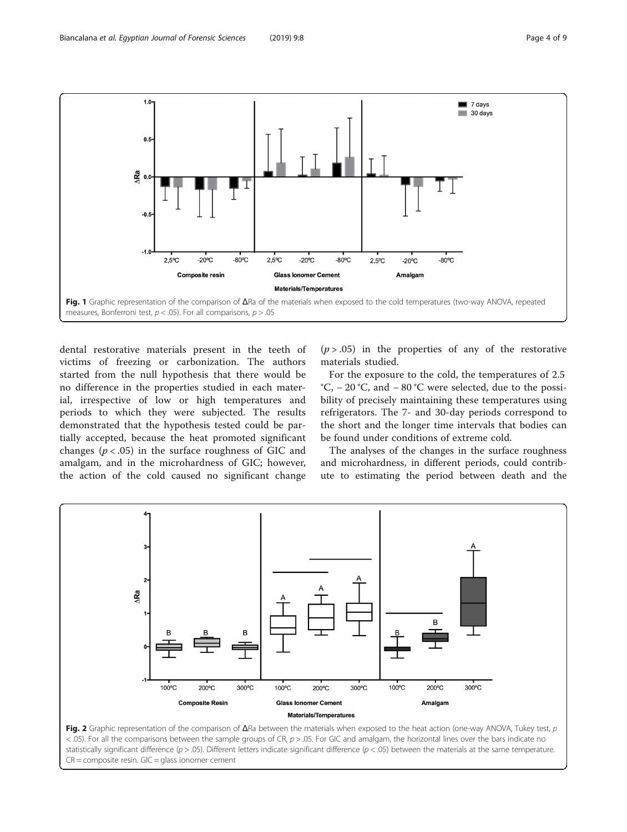<span id="page-3-0"></span>

dental restorative materials present in the teeth of victims of freezing or carbonization. The authors started from the null hypothesis that there would be no difference in the properties studied in each material, irrespective of low or high temperatures and periods to which they were subjected. The results demonstrated that the hypothesis tested could be partially accepted, because the heat promoted significant changes ( $p < .05$ ) in the surface roughness of GIC and amalgam, and in the microhardness of GIC; however, the action of the cold caused no significant change

 $(p > .05)$  in the properties of any of the restorative materials studied.

For the exposure to the cold, the temperatures of 2.5 °C, − 20 °C, and − 80 °C were selected, due to the possibility of precisely maintaining these temperatures using refrigerators. The 7- and 30-day periods correspond to the short and the longer time intervals that bodies can be found under conditions of extreme cold.

The analyses of the changes in the surface roughness and microhardness, in different periods, could contribute to estimating the period between death and the



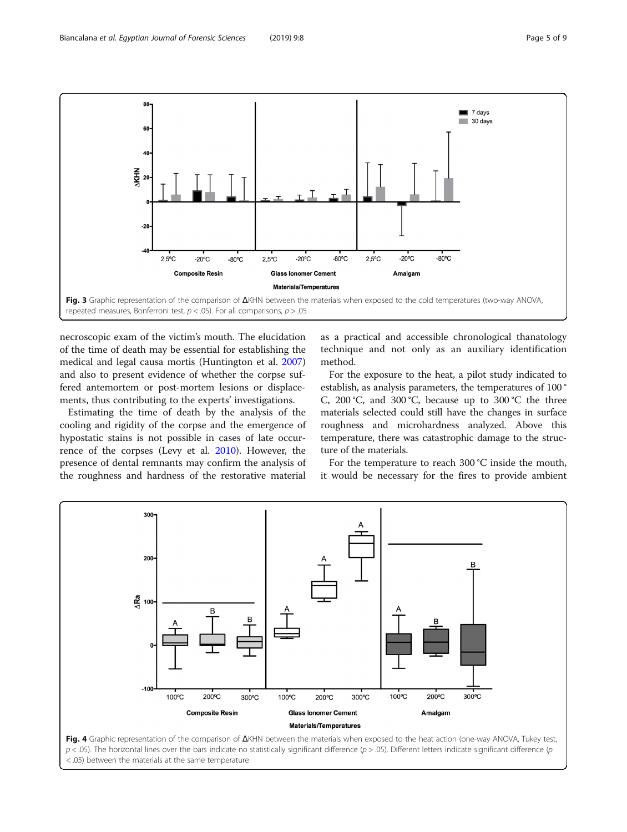<span id="page-4-0"></span>

necroscopic exam of the victim's mouth. The elucidation of the time of death may be essential for establishing the medical and legal causa mortis (Huntington et al. [2007](#page-7-0)) and also to present evidence of whether the corpse suffered antemortem or post-mortem lesions or displacements, thus contributing to the experts' investigations.

Estimating the time of death by the analysis of the cooling and rigidity of the corpse and the emergence of hypostatic stains is not possible in cases of late occurrence of the corpses (Levy et al. [2010](#page-7-0)). However, the presence of dental remnants may confirm the analysis of the roughness and hardness of the restorative material as a practical and accessible chronological thanatology technique and not only as an auxiliary identification method.

For the exposure to the heat, a pilot study indicated to establish, as analysis parameters, the temperatures of 100 ° C, 200 °C, and 300 °C, because up to 300 °C the three materials selected could still have the changes in surface roughness and microhardness analyzed. Above this temperature, there was catastrophic damage to the structure of the materials.

For the temperature to reach 300 °C inside the mouth, it would be necessary for the fires to provide ambient



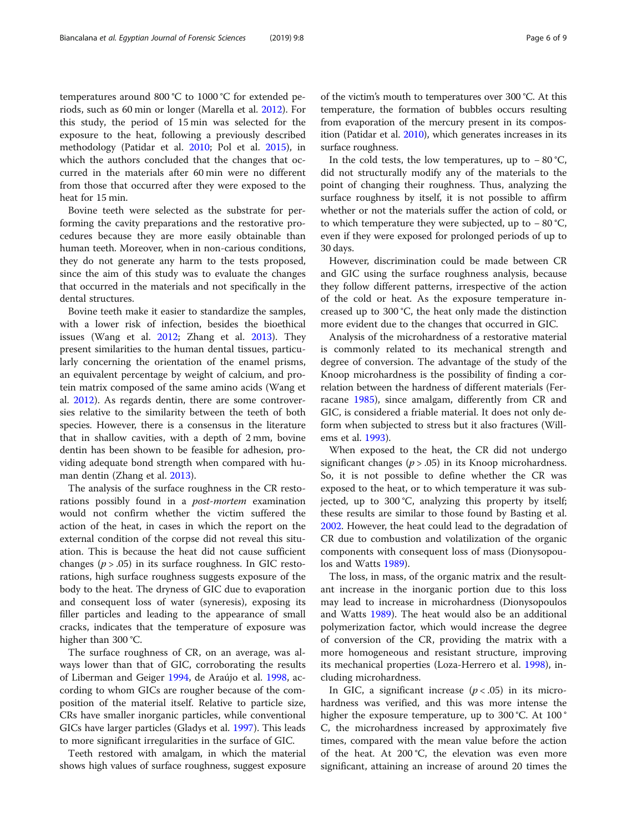temperatures around 800 °C to 1000 °C for extended periods, such as 60 min or longer (Marella et al. [2012](#page-7-0)). For this study, the period of 15 min was selected for the exposure to the heat, following a previously described methodology (Patidar et al. [2010](#page-7-0); Pol et al. [2015](#page-7-0)), in which the authors concluded that the changes that occurred in the materials after 60 min were no different from those that occurred after they were exposed to the heat for 15 min.

Bovine teeth were selected as the substrate for performing the cavity preparations and the restorative procedures because they are more easily obtainable than human teeth. Moreover, when in non-carious conditions, they do not generate any harm to the tests proposed, since the aim of this study was to evaluate the changes that occurred in the materials and not specifically in the dental structures.

Bovine teeth make it easier to standardize the samples, with a lower risk of infection, besides the bioethical issues (Wang et al. [2012](#page-8-0); Zhang et al. [2013](#page-8-0)). They present similarities to the human dental tissues, particularly concerning the orientation of the enamel prisms, an equivalent percentage by weight of calcium, and protein matrix composed of the same amino acids (Wang et al. [2012\)](#page-8-0). As regards dentin, there are some controversies relative to the similarity between the teeth of both species. However, there is a consensus in the literature that in shallow cavities, with a depth of 2 mm, bovine dentin has been shown to be feasible for adhesion, providing adequate bond strength when compared with human dentin (Zhang et al. [2013](#page-8-0)).

The analysis of the surface roughness in the CR restorations possibly found in a *post-mortem* examination would not confirm whether the victim suffered the action of the heat, in cases in which the report on the external condition of the corpse did not reveal this situation. This is because the heat did not cause sufficient changes ( $p > .05$ ) in its surface roughness. In GIC restorations, high surface roughness suggests exposure of the body to the heat. The dryness of GIC due to evaporation and consequent loss of water (syneresis), exposing its filler particles and leading to the appearance of small cracks, indicates that the temperature of exposure was higher than 300 °C.

The surface roughness of CR, on an average, was always lower than that of GIC, corroborating the results of Liberman and Geiger [1994](#page-7-0), de Araújo et al. [1998,](#page-7-0) according to whom GICs are rougher because of the composition of the material itself. Relative to particle size, CRs have smaller inorganic particles, while conventional GICs have larger particles (Gladys et al. [1997\)](#page-7-0). This leads to more significant irregularities in the surface of GIC.

Teeth restored with amalgam, in which the material shows high values of surface roughness, suggest exposure of the victim's mouth to temperatures over 300 °C. At this temperature, the formation of bubbles occurs resulting from evaporation of the mercury present in its composition (Patidar et al. [2010\)](#page-7-0), which generates increases in its surface roughness.

In the cold tests, the low temperatures, up to  $-80^{\circ}C$ , did not structurally modify any of the materials to the point of changing their roughness. Thus, analyzing the surface roughness by itself, it is not possible to affirm whether or not the materials suffer the action of cold, or to which temperature they were subjected, up to − 80 °C, even if they were exposed for prolonged periods of up to 30 days.

However, discrimination could be made between CR and GIC using the surface roughness analysis, because they follow different patterns, irrespective of the action of the cold or heat. As the exposure temperature increased up to 300 °C, the heat only made the distinction more evident due to the changes that occurred in GIC.

Analysis of the microhardness of a restorative material is commonly related to its mechanical strength and degree of conversion. The advantage of the study of the Knoop microhardness is the possibility of finding a correlation between the hardness of different materials (Ferracane [1985\)](#page-7-0), since amalgam, differently from CR and GIC, is considered a friable material. It does not only deform when subjected to stress but it also fractures (Willems et al. [1993](#page-8-0)).

When exposed to the heat, the CR did not undergo significant changes ( $p > .05$ ) in its Knoop microhardness. So, it is not possible to define whether the CR was exposed to the heat, or to which temperature it was subjected, up to 300 °C, analyzing this property by itself; these results are similar to those found by Basting et al. [2002](#page-7-0). However, the heat could lead to the degradation of CR due to combustion and volatilization of the organic components with consequent loss of mass (Dionysopoulos and Watts [1989](#page-7-0)).

The loss, in mass, of the organic matrix and the resultant increase in the inorganic portion due to this loss may lead to increase in microhardness (Dionysopoulos and Watts [1989\)](#page-7-0). The heat would also be an additional polymerization factor, which would increase the degree of conversion of the CR, providing the matrix with a more homogeneous and resistant structure, improving its mechanical properties (Loza-Herrero et al. [1998](#page-7-0)), including microhardness.

In GIC, a significant increase  $(p < .05)$  in its microhardness was verified, and this was more intense the higher the exposure temperature, up to 300 °C. At 100 ° C, the microhardness increased by approximately five times, compared with the mean value before the action of the heat. At 200 °C, the elevation was even more significant, attaining an increase of around 20 times the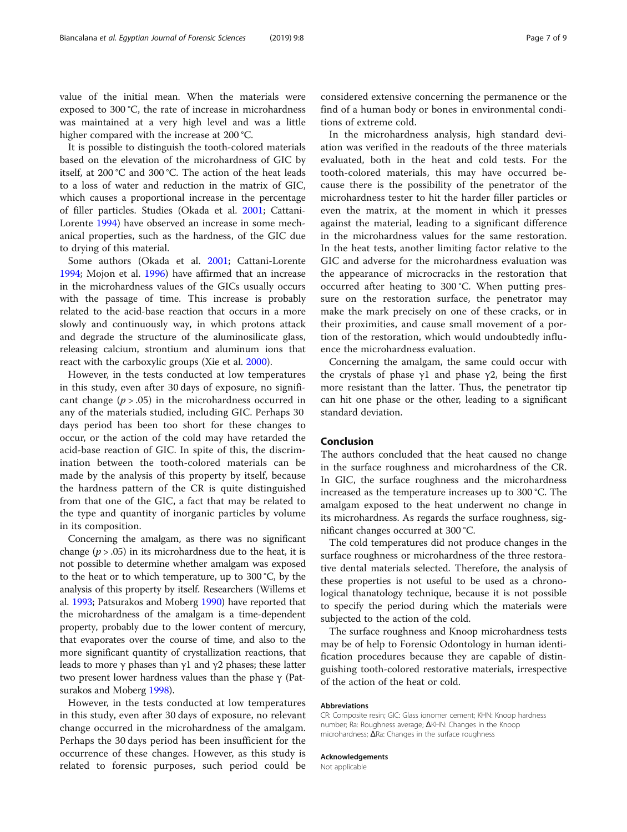value of the initial mean. When the materials were exposed to 300 °C, the rate of increase in microhardness was maintained at a very high level and was a little higher compared with the increase at 200 °C.

It is possible to distinguish the tooth-colored materials based on the elevation of the microhardness of GIC by itself, at 200 °C and 300 °C. The action of the heat leads to a loss of water and reduction in the matrix of GIC, which causes a proportional increase in the percentage of filler particles. Studies (Okada et al. [2001](#page-7-0); Cattani-Lorente [1994](#page-7-0)) have observed an increase in some mechanical properties, such as the hardness, of the GIC due to drying of this material.

Some authors (Okada et al. [2001;](#page-7-0) Cattani-Lorente [1994](#page-7-0); Mojon et al. [1996\)](#page-7-0) have affirmed that an increase in the microhardness values of the GICs usually occurs with the passage of time. This increase is probably related to the acid-base reaction that occurs in a more slowly and continuously way, in which protons attack and degrade the structure of the aluminosilicate glass, releasing calcium, strontium and aluminum ions that react with the carboxylic groups (Xie et al. [2000\)](#page-8-0).

However, in the tests conducted at low temperatures in this study, even after 30 days of exposure, no significant change  $(p > .05)$  in the microhardness occurred in any of the materials studied, including GIC. Perhaps 30 days period has been too short for these changes to occur, or the action of the cold may have retarded the acid-base reaction of GIC. In spite of this, the discrimination between the tooth-colored materials can be made by the analysis of this property by itself, because the hardness pattern of the CR is quite distinguished from that one of the GIC, a fact that may be related to the type and quantity of inorganic particles by volume in its composition.

Concerning the amalgam, as there was no significant change ( $p > .05$ ) in its microhardness due to the heat, it is not possible to determine whether amalgam was exposed to the heat or to which temperature, up to 300 °C, by the analysis of this property by itself. Researchers (Willems et al. [1993;](#page-8-0) Patsurakos and Moberg [1990\)](#page-7-0) have reported that the microhardness of the amalgam is a time-dependent property, probably due to the lower content of mercury, that evaporates over the course of time, and also to the more significant quantity of crystallization reactions, that leads to more  $\gamma$  phases than  $\gamma$ 1 and  $\gamma$ 2 phases; these latter two present lower hardness values than the phase γ (Patsurakos and Moberg [1998\)](#page-7-0).

However, in the tests conducted at low temperatures in this study, even after 30 days of exposure, no relevant change occurred in the microhardness of the amalgam. Perhaps the 30 days period has been insufficient for the occurrence of these changes. However, as this study is related to forensic purposes, such period could be

considered extensive concerning the permanence or the find of a human body or bones in environmental conditions of extreme cold.

In the microhardness analysis, high standard deviation was verified in the readouts of the three materials evaluated, both in the heat and cold tests. For the tooth-colored materials, this may have occurred because there is the possibility of the penetrator of the microhardness tester to hit the harder filler particles or even the matrix, at the moment in which it presses against the material, leading to a significant difference in the microhardness values for the same restoration. In the heat tests, another limiting factor relative to the GIC and adverse for the microhardness evaluation was the appearance of microcracks in the restoration that occurred after heating to 300 °C. When putting pressure on the restoration surface, the penetrator may make the mark precisely on one of these cracks, or in their proximities, and cause small movement of a portion of the restoration, which would undoubtedly influence the microhardness evaluation.

Concerning the amalgam, the same could occur with the crystals of phase γ1 and phase γ2, being the first more resistant than the latter. Thus, the penetrator tip can hit one phase or the other, leading to a significant standard deviation.

# Conclusion

The authors concluded that the heat caused no change in the surface roughness and microhardness of the CR. In GIC, the surface roughness and the microhardness increased as the temperature increases up to 300 °C. The amalgam exposed to the heat underwent no change in its microhardness. As regards the surface roughness, significant changes occurred at 300 °C.

The cold temperatures did not produce changes in the surface roughness or microhardness of the three restorative dental materials selected. Therefore, the analysis of these properties is not useful to be used as a chronological thanatology technique, because it is not possible to specify the period during which the materials were subjected to the action of the cold.

The surface roughness and Knoop microhardness tests may be of help to Forensic Odontology in human identification procedures because they are capable of distinguishing tooth-colored restorative materials, irrespective of the action of the heat or cold.

#### **Abbreviations**

CR: Composite resin; GIC: Glass ionomer cement; KHN: Knoop hardness number; Ra: Roughness average; ΔKHN: Changes in the Knoop microhardness; ΔRa: Changes in the surface roughness

### Acknowledgements

Not applicable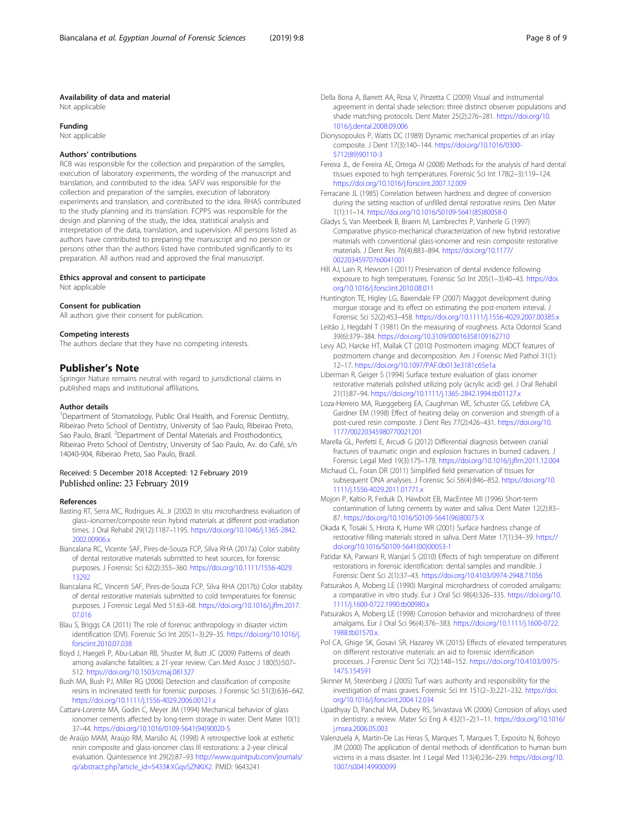#### <span id="page-7-0"></span>Availability of data and material

Not applicable

#### Funding

Not applicable

### Authors' contributions

RCB was responsible for the collection and preparation of the samples, execution of laboratory experiments, the wording of the manuscript and translation, and contributed to the idea. SAFV was responsible for the collection and preparation of the samples, execution of laboratory experiments and translation, and contributed to the idea. RHAS contributed to the study planning and its translation. FCPPS was responsible for the design and planning of the study, the idea, statistical analysis and interpretation of the data, translation, and supervision. All persons listed as authors have contributed to preparing the manuscript and no person or persons other than the authors listed have contributed significantly to its preparation. All authors read and approved the final manuscript.

#### Ethics approval and consent to participate

Not applicable

#### Consent for publication

All authors give their consent for publication.

#### Competing interests

The authors declare that they have no competing interests.

### Publisher's Note

Springer Nature remains neutral with regard to jurisdictional claims in published maps and institutional affiliations.

#### Author details

<sup>1</sup>Department of Stomatology, Public Oral Health, and Forensic Dentistry, Ribeirao Preto School of Dentistry, University of Sao Paulo, Ribeirao Preto, Sao Paulo, Brazil. <sup>2</sup>Department of Dental Materials and Prosthodontics, Ribeirao Preto School of Dentistry, University of Sao Paulo, Av. do Café, s/n 14040-904, Ribeirao Preto, Sao Paulo, Brazil.

#### Received: 5 December 2018 Accepted: 12 February 2019 Published online: 23 February 2019

#### References

- Basting RT, Serra MC, Rodrigues AL Jr (2002) In situ microhardness evaluation of glass–ionomer/composite resin hybrid materials at different post-irradiation times. J Oral Rehabil 29(12):1187–1195. [https://doi.org/10.1046/j.1365-2842.](https://doi.org/10.1046/j.1365-2842.2002.00906.x) [2002.00906.x](https://doi.org/10.1046/j.1365-2842.2002.00906.x)
- Biancalana RC, Vicente SAF, Pires-de-Souza FCP, Silva RHA (2017a) Color stability of dental restorative materials submitted to heat sources, for forensic purposes. J Forensic Sci 62(2):355–360. [https://doi.org/10.1111/1556-4029.](https://doi.org/10.1111/1556-4029.13292) [13292](https://doi.org/10.1111/1556-4029.13292)
- Biancalana RC, Vincenti SAF, Pires-de-Souza FCP, Silva RHA (2017b) Color stability of dental restorative materials submitted to cold temperatures for forensic purposes. J Forensic Legal Med 51:63–68. [https://doi.org/10.1016/j.jflm.2017.](https://doi.org/10.1016/j.jflm.2017.07.016) [07.016](https://doi.org/10.1016/j.jflm.2017.07.016)
- Blau S, Briggs CA (2011) The role of forensic anthropology in disaster victim identification (DVI). Forensic Sci Int 205(1–3):29–35. [https://doi.org/10.1016/j.](https://doi.org/10.1016/j.forsciint.2010.07.038) [forsciint.2010.07.038](https://doi.org/10.1016/j.forsciint.2010.07.038)
- Boyd J, Haegeli P, Abu-Laban RB, Shuster M, Butt JC (2009) Patterns of death among avalanche fatalities: a 21-year review. Can Med Assoc J 180(5):507– 512. <https://doi.org/10.1503/cmaj.081327>
- Bush MA, Bush PJ, Miller RG (2006) Detection and classification of composite resins in incinerated teeth for forensic purposes. J Forensic Sci 51(3):636–642. <https://doi.org/10.1111/j.1556-4029.2006.00121.x>
- Cattani-Lorente MA, Godin C, Meyer JM (1994) Mechanical behavior of glass ionomer cements affected by long-term storage in water. Dent Mater 10(1): 37–44. [https://doi.org/10.1016/0109-5641\(94\)90020-5](https://doi.org/10.1016/0109-5641(94)90020-5)
- de Araújo MAM, Araújo RM, Marsilio AL (1998) A retrospective look at esthetic resin composite and glass-ionomer class III restorations: a 2-year clinical evaluation. Quintessence Int 29(2):87–93 [http://www.quintpub.com/journals/](http://www.quintpub.com/journals/qi/abstract.php?article_id=5433#.XGqvSZNKiX2) [qi/abstract.php?article\\_id=5433#.XGqvSZNKiX2](http://www.quintpub.com/journals/qi/abstract.php?article_id=5433#.XGqvSZNKiX2). PMID: 9643241
- Della Bona A, Barrett AA, Rosa V, Pinzetta C (2009) Visual and instrumental agreement in dental shade selection: three distinct observer populations and shade matching protocols. Dent Mater 25(2):276–281. [https://doi.org/10.](https://doi.org/10.1016/j.dental.2008.09.006) [1016/j.dental.2008.09.006](https://doi.org/10.1016/j.dental.2008.09.006)
- Dionysopoulos P, Watts DC (1989) Dynamic mechanical properties of an inlay composite. J Dent 17(3):140–144. [https://doi.org/10.1016/0300-](https://doi.org/10.1016/0300-5712(89)90110-3) [5712\(89\)90110-3](https://doi.org/10.1016/0300-5712(89)90110-3)
- Fereira JL, de Fereira AE, Ortega AI (2008) Methods for the analysis of hard dental tissues exposed to high temperatures. Forensic Sci Int 178(2–3):119–124. <https://doi.org/10.1016/j.forsciint.2007.12.009>
- Ferracane JL (1985) Correlation between hardness and degree of conversion during the setting reaction of unfilled dental restorative resins. Den Mater 1(1):11–14. [https://doi.org/10.1016/S0109-5641\(85\)80058-0](https://doi.org/10.1016/S0109-5641(85)80058-0)
- Gladys S, Van Meerbeek B, Braem M, Lambrechts P, Vanherle G (1997) Comparative physico-mechanical characterization of new hybrid restorative materials with conventional glass-ionomer and resin composite restorative materials. J Dent Res 76(4):883–894. [https://doi.org/10.1177/](https://doi.org/10.1177/00220345970760041001) [00220345970760041001](https://doi.org/10.1177/00220345970760041001)
- Hill AJ, Lain R, Hewson I (2011) Preservation of dental evidence following exposure to high temperatures. Forensic Sci Int 205(1–3):40–43. [https://doi.](https://doi.org/10.1016/j.forsciint.2010.08.011) [org/10.1016/j.forsciint.2010.08.011](https://doi.org/10.1016/j.forsciint.2010.08.011)
- Huntington TE, Higley LG, Baxendale FP (2007) Maggot development during morgue storage and its effect on estimating the post-mortem interval. J Forensic Sci 52(2):453–458. <https://doi.org/10.1111/j.1556-4029.2007.00385.x>
- Leitão J, Hegdahl T (1981) On the measuring of roughness. Acta Odontol Scand 39(6):379–384. <https://doi.org/10.3109/00016358109162710>
- Levy AD, Harcke HT, Mallak CT (2010) Postmortem imaging: MDCT features of postmortem change and decomposition. Am J Forensic Med Pathol 31(1): 12–17. <https://doi.org/10.1097/PAF.0b013e3181c65e1a>
- Liberman R, Geiger S (1994) Surface texture evaluation of glass ionomer restorative materials polished utilizing poly (acrylic acid) gel. J Oral Rehabil 21(1):87–94. <https://doi.org/10.1111/j.1365-2842.1994.tb01127.x>
- Loza-Herrero MA, Rueggeberg EA, Caughman WE, Schuster GS, Lefebvre CA, Gardner EM (1998) Effect of heating delay on conversion and strength of a post-cured resin composite. J Dent Res 77(2):426–431. [https://doi.org/10.](https://doi.org/10.1177/00220345980770021201) [1177/00220345980770021201](https://doi.org/10.1177/00220345980770021201)
- Marella GL, Perfetti E, Arcudi G (2012) Differential diagnosis between cranial fractures of traumatic origin and explosion fractures in burned cadavers. J Forensic Legal Med 19(3):175–178. <https://doi.org/10.1016/j.jflm.2011.12.004>
- Michaud CL, Foran DR (2011) Simplified field preservation of tissues for subsequent DNA analyses. J Forensic Sci 56(4):846–852. [https://doi.org/10.](https://doi.org/10.1111/j.1556-4029.2011.01771.x) [1111/j.1556-4029.2011.01771.x](https://doi.org/10.1111/j.1556-4029.2011.01771.x)
- Mojon P, Kaltio R, Feduik D, Hawbolt EB, MacEntee MI (1996) Short-term contamination of luting cements by water and saliva. Dent Mater 12(2):83– 87. [https://doi.org/10.1016/S0109-5641\(96\)80073-X](https://doi.org/10.1016/S0109-5641(96)80073-X)
- Okada K, Tosaki S, Hirota K, Hume WR (2001) Surface hardness change of restorative filling materials stored in saliva. Dent Mater 17(1):34–39. [https://](https://doi.org/10.1016/S0109-5641(00)00053-1) [doi.org/10.1016/S0109-5641\(00\)00053-1](https://doi.org/10.1016/S0109-5641(00)00053-1)
- Patidar KA, Parwani R, Wanjari S (2010) Effects of high temperature on different restorations in forensic identification: dental samples and mandible. J Forensic Dent Sci 2(1):37–43. <https://doi.org/10.4103/0974-2948.71056>
- Patsurakos A, Moberg LE (1990) Marginal microhardness of corroded amalgams: a comparative in vitro study. Eur J Oral Sci 98(4):326–335. [https://doi.org/10.](https://doi.org/10.1111/j.1600-0722.1990.tb00980.x) [1111/j.1600-0722.1990.tb00980.x](https://doi.org/10.1111/j.1600-0722.1990.tb00980.x)
- Patsurakos A, Moberg LE (1998) Corrosion behavior and microhardness of three amalgams. Eur J Oral Sci 96(4):376–383. [https://doi.org/10.1111/j.1600-0722.](https://doi.org/10.1111/j.1600-0722.1988.tb01570.x.) [1988.tb01570.x.](https://doi.org/10.1111/j.1600-0722.1988.tb01570.x.)
- Pol CA, Ghige SK, Gosavi SR, Hazarey VK (2015) Effects of elevated temperatures on different restorative materials: an aid to forensic identification processes. J Forensic Dent Sci 7(2):148–152. [https://doi.org/10.4103/0975-](https://doi.org/10.4103/0975-1475.154591) [1475.154591](https://doi.org/10.4103/0975-1475.154591)
- Skinner M, Sterenberg J (2005) Turf wars: authority and responsibility for the investigation of mass graves. Forensic Sci Int 151(2–3):221–232. [https://doi.](https://doi.org/10.1016/j.forsciint.2004.12.034) [org/10.1016/j.forsciint.2004.12.034](https://doi.org/10.1016/j.forsciint.2004.12.034)
- Upadhyay D, Panchal MA, Dubey RS, Srivastava VK (2006) Corrosion of alloys used in dentistry: a review. Mater Sci Eng A 432(1–2):1–11. [https://doi.org/10.1016/](https://doi.org/10.1016/j.msea.2006.05.003) [j.msea.2006.05.003](https://doi.org/10.1016/j.msea.2006.05.003)
- Valenzuela A, Martin-De Las Heras S, Marques T, Marques T, Exposito N, Bohoyo JM (2000) The application of dental methods of identification to human burn victims in a mass disaster. Int J Legal Med 113(4):236–239. [https://doi.org/10.](https://doi.org/10.1007/s004149900099) [1007/s004149900099](https://doi.org/10.1007/s004149900099)